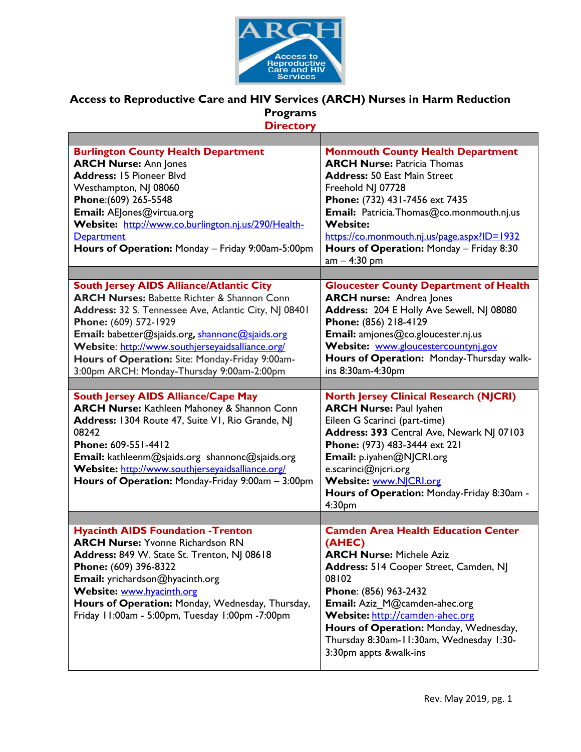

## **Access to Reproductive Care and HIV Services (ARCH) Nurses in Harm Reduction Programs Directory**

| <b>Burlington County Health Department</b><br><b>ARCH Nurse: Ann Jones</b><br><b>Address: 15 Pioneer Blvd</b><br>Westhampton, NJ 08060<br>Phone: (609) 265-5548<br>Email: AEJones@virtua.org<br>Website: http://www.co.burlington.nj.us/290/Health-<br><b>Department</b><br>Hours of Operation: Monday - Friday 9:00am-5:00pm                                                                       | <b>Monmouth County Health Department</b><br><b>ARCH Nurse: Patricia Thomas</b><br><b>Address: 50 East Main Street</b><br>Freehold NJ 07728<br>Phone: (732) 431-7456 ext 7435<br>Email: Patricia. Thomas@co.monmouth.nj.us<br><b>Website:</b><br>https://co.monmouth.nj.us/page.aspx?ID=1932<br>Hours of Operation: Monday - Friday 8:30<br>$am - 4:30 pm$ |
|-----------------------------------------------------------------------------------------------------------------------------------------------------------------------------------------------------------------------------------------------------------------------------------------------------------------------------------------------------------------------------------------------------|-----------------------------------------------------------------------------------------------------------------------------------------------------------------------------------------------------------------------------------------------------------------------------------------------------------------------------------------------------------|
|                                                                                                                                                                                                                                                                                                                                                                                                     |                                                                                                                                                                                                                                                                                                                                                           |
| <b>South Jersey AIDS Alliance/Atlantic City</b><br><b>ARCH Nurses: Babette Richter &amp; Shannon Conn</b><br>Address: 32 S. Tennessee Ave, Atlantic City, NJ 08401<br>Phone: (609) 572-1929<br>Email: babetter@sjaids.org, shannonc@sjaids.org<br>Website: http://www.southjerseyaidsalliance.org/<br>Hours of Operation: Site: Monday-Friday 9:00am-<br>3:00pm ARCH: Monday-Thursday 9:00am-2:00pm | <b>Gloucester County Department of Health</b><br><b>ARCH nurse: Andrea Jones</b><br>Address: 204 E Holly Ave Sewell, NJ 08080<br>Phone: (856) 218-4129<br>Email: amjones@co.gloucester.nj.us<br>Website: www.gloucestercountynj.gov<br>Hours of Operation: Monday-Thursday walk-<br>ins 8:30am-4:30pm                                                     |
| <b>South Jersey AIDS Alliance/Cape May</b>                                                                                                                                                                                                                                                                                                                                                          | <b>North Jersey Clinical Research (NJCRI)</b>                                                                                                                                                                                                                                                                                                             |
| <b>ARCH Nurse:</b> Kathleen Mahoney & Shannon Conn<br>Address: 1304 Route 47, Suite VI, Rio Grande, NJ<br>08242<br>Phone: 609-551-4412<br>Email: kathleenm@sjaids.org shannonc@sjaids.org<br>Website: http://www.southjerseyaidsalliance.org/<br>Hours of Operation: Monday-Friday 9:00am - 3:00pm                                                                                                  | <b>ARCH Nurse: Paul lyahen</b><br>Eileen G Scarinci (part-time)<br>Address: 393 Central Ave, Newark NJ 07103<br>Phone: (973) 483-3444 ext 221<br>Email: p.iyahen@NJCRI.org<br>e.scarinci@njcri.org<br>Website: www.NJCRI.org<br>Hours of Operation: Monday-Friday 8:30am -<br>4:30pm                                                                      |
|                                                                                                                                                                                                                                                                                                                                                                                                     |                                                                                                                                                                                                                                                                                                                                                           |
| <b>Hyacinth AIDS Foundation - Trenton</b><br><b>ARCH Nurse: Yvonne Richardson RN</b><br>Address: 849 W. State St. Trenton, NJ 08618<br>Phone: (609) 396-8322<br>Email: yrichardson@hyacinth.org<br>Website: www.hyacinth.org<br>Hours of Operation: Monday, Wednesday, Thursday,<br>Friday 11:00am - 5:00pm, Tuesday 1:00pm -7:00pm                                                                 | <b>Camden Area Health Education Center</b><br>(AHEC)<br><b>ARCH Nurse: Michele Aziz</b><br>Address: 514 Cooper Street, Camden, NJ<br>08102<br>Phone: (856) 963-2432<br>Email: Aziz M@camden-ahec.org<br>Website: http://camden-ahec.org<br>Hours of Operation: Monday, Wednesday,<br>Thursday 8:30am-11:30am, Wednesday 1:30-<br>3:30pm appts &walk-ins   |